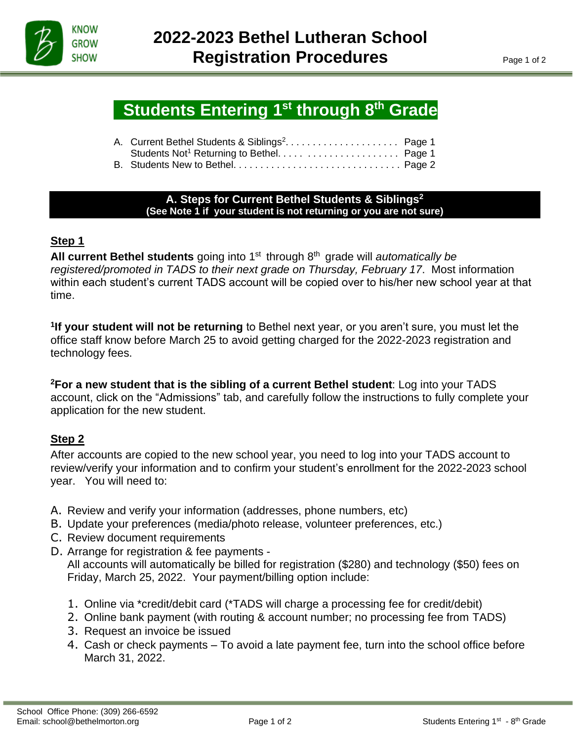

İ

# **Students Entering 1st through 8<sup>th</sup> Grade**

| A. Current Bethel Students & Siblings <sup>2</sup> Page 1 |  |
|-----------------------------------------------------------|--|
|                                                           |  |
|                                                           |  |

#### **A. Steps for Current Bethel Students & Siblings<sup>2</sup> (See Note 1 if your student is not returning or you are not sure)**

# **Step 1**

All current Bethel students going into 1<sup>st</sup> through 8<sup>th</sup> grade will *automatically be registered/promoted in TADS to their next grade on Thursday, February 17*. Most information within each student's current TADS account will be copied over to his/her new school year at that time.

**1 If your student will not be returning** to Bethel next year, or you aren't sure, you must let the office staff know before March 25 to avoid getting charged for the 2022-2023 registration and technology fees.

**<sup>2</sup>For a new student that is the sibling of a current Bethel student**: Log into your TADS account, click on the "Admissions" tab, and carefully follow the instructions to fully complete your application for the new student.

# **Step 2**

After accounts are copied to the new school year, you need to log into your TADS account to review/verify your information and to confirm your student's enrollment for the 2022-2023 school year. You will need to:

- A. Review and verify your information (addresses, phone numbers, etc)
- B. Update your preferences (media/photo release, volunteer preferences, etc.)
- C. Review document requirements
- D. Arrange for registration & fee payments -

All accounts will automatically be billed for registration (\$280) and technology (\$50) fees on Friday, March 25, 2022. Your payment/billing option include:

- 1. Online via \*credit/debit card (\*TADS will charge a processing fee for credit/debit)
- 2. Online bank payment (with routing & account number; no processing fee from TADS)
- 3. Request an invoice be issued
- 4. Cash or check payments To avoid a late payment fee, turn into the school office before March 31, 2022.